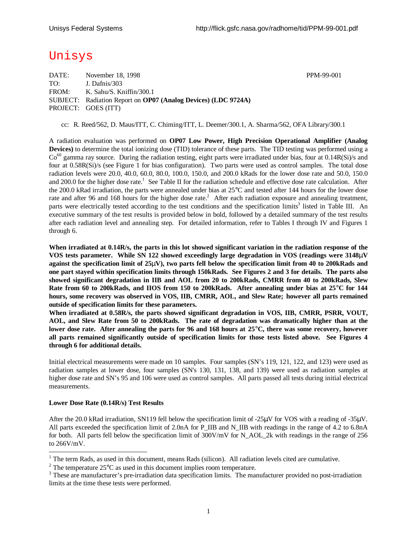# Unisys

DATE: November 18, 1998 PPM-99-001 TO: J. Dafnis/303 FROM: K. Sahu/S. Kniffin/300.1 SUBJECT: Radiation Report on **OP07 (Analog Devices) (LDC 9724A)** PROJECT: GOES (ITT)

cc: R. Reed/562, D. Maus/ITT, C. Chiming/ITT, L. Deemer/300.1, A. Sharma/562, OFA Library/300.1

A radiation evaluation was performed on **OP07 Low Power, High Precision Operational Amplifier (Analog Devices)** to determine the total ionizing dose (TID) tolerance of these parts. The TID testing was performed using a  $Co<sup>60</sup>$  gamma ray source. During the radiation testing, eight parts were irradiated under bias, four at  $0.14R(Si)/s$  and four at 0.58R(Si)/s (see Figure 1 for bias configuration). Two parts were used as control samples. The total dose radiation levels were 20.0, 40.0, 60.0, 80.0, 100.0, 150.0, and 200.0 kRads for the lower dose rate and 50.0, 150.0 and 200.0 for the higher dose rate.<sup>1</sup> See Table II for the radiation schedule and effective dose rate calculation. After the 200.0 kRad irradiation, the parts were annealed under bias at 25°C and tested after 144 hours for the lower dose rate and after 96 and 168 hours for the higher dose rate.<sup>2</sup> After each radiation exposure and annealing treatment, parts were electrically tested according to the test conditions and the specification limits<sup>3</sup> listed in Table III. An executive summary of the test results is provided below in bold, followed by a detailed summary of the test results after each radiation level and annealing step. For detailed information, refer to Tables I through IV and Figures 1 through 6.

**When irradiated at 0.14R/s, the parts in this lot showed significant variation in the radiation response of the VOS tests parameter. While SN 122 showed exceedingly large degradation in VOS (readings were 3148mV against the specification limit of 25mV), two parts fell below the specification limit from 40 to 200kRads and one part stayed within specification limits through 150kRads. See Figures 2 and 3 for details. The parts also showed significant degradation in IIB and AOL from 20 to 200kRads, CMRR from 40 to 200kRads, Slew Rate from 60 to 200kRads, and IIOS from 150 to 200kRads. After annealing under bias at 25°C for 144 hours, some recovery was observed in VOS, IIB, CMRR, AOL, and Slew Rate; however all parts remained outside of specification limits for these parameters.**

**When irradiated at 0.58R/s, the parts showed significant degradation in VOS, IIB, CMRR, PSRR, VOUT, AOL, and Slew Rate from 50 to 200kRads. The rate of degradation was dramatically higher than at the lower dose rate. After annealing the parts for 96 and 168 hours at 25°C, there was some recovery, however all parts remained significantly outside of specification limits for those tests listed above. See Figures 4 through 6 for additional details.**

Initial electrical measurements were made on 10 samples. Four samples (SN's 119, 121, 122, and 123) were used as radiation samples at lower dose, four samples (SN's 130, 131, 138, and 139) were used as radiation samples at higher dose rate and SN's 95 and 106 were used as control samples. All parts passed all tests during initial electrical measurements.

#### **Lower Dose Rate (0.14R/s) Test Results**

After the 20.0 kRad irradiation, SN119 fell below the specification limit of -25μV for VOS with a reading of -35μV. All parts exceeded the specification limit of 2.0nA for P\_IIB and N\_IIB with readings in the range of 4.2 to 6.8nA for both. All parts fell below the specification limit of 300V/mV for N\_AOL\_2k with readings in the range of 256 to 266V/mV.

<sup>&</sup>lt;sup>1</sup> The term Rads, as used in this document, means Rads (silicon). All radiation levels cited are cumulative.

<sup>&</sup>lt;sup>2</sup> The temperature  $25^{\circ}$ C as used in this document implies room temperature.

 $3$  These are manufacturer's pre-irradiation data specification limits. The manufacturer provided no post-irradiation limits at the time these tests were performed.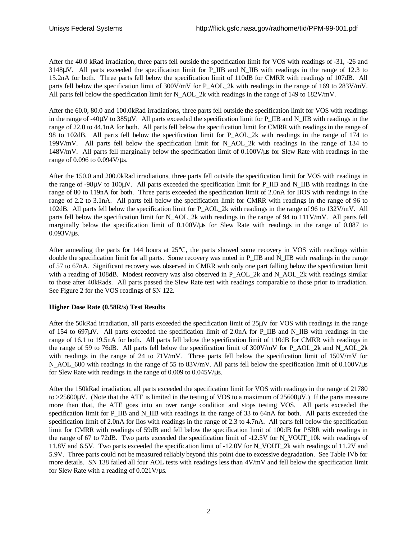After the 40.0 kRad irradiation, three parts fell outside the specification limit for VOS with readings of -31, -26 and  $3148\mu$ V. All parts exceeded the specification limit for P\_IIB and N\_IIB with readings in the range of 12.3 to 15.2nA for both. Three parts fell below the specification limit of 110dB for CMRR with readings of 107dB. All parts fell below the specification limit of 300V/mV for P\_AOL\_2k with readings in the range of 169 to 283V/mV. All parts fell below the specification limit for N\_AOL\_2k with readings in the range of 149 to 182V/mV.

After the 60.0, 80.0 and 100.0kRad irradiations, three parts fell outside the specification limit for VOS with readings in the range of -40 $\mu$ V to 385 $\mu$ V. All parts exceeded the specification limit for P\_IIB and N\_IIB with readings in the range of 22.0 to 44.1nA for both. All parts fell below the specification limit for CMRR with readings in the range of 98 to 102dB. All parts fell below the specification limit for P\_AOL\_2k with readings in the range of 174 to 199V/mV. All parts fell below the specification limit for N\_AOL\_2k with readings in the range of 134 to 148V/mV. All parts fell marginally below the specification limit of 0.100V/μs for Slew Rate with readings in the range of 0.096 to 0.094V/μs.

After the 150.0 and 200.0kRad irradiations, three parts fell outside the specification limit for VOS with readings in the range of -98μV to 100μV. All parts exceeded the specification limit for P\_IIB and N\_IIB with readings in the range of 80 to 119nA for both. Three parts exceeded the specification limit of 2.0nA for IIOS with readings in the range of 2.2 to 3.1nA. All parts fell below the specification limit for CMRR with readings in the range of 96 to 102dB. All parts fell below the specification limit for P\_AOL\_2k with readings in the range of 96 to 132V/mV. All parts fell below the specification limit for N\_AOL\_2k with readings in the range of 94 to 111V/mV. All parts fell marginally below the specification limit of 0.100V/μs for Slew Rate with readings in the range of 0.087 to 0.093V/μs.

After annealing the parts for 144 hours at 25°C, the parts showed some recovery in VOS with readings within double the specification limit for all parts. Some recovery was noted in P\_IIB and N\_IIB with readings in the range of 57 to 67nA. Significant recovery was observed in CMRR with only one part falling below the specification limit with a reading of 108dB. Modest recovery was also observed in P\_AOL\_2k and N\_AOL\_2k with readings similar to those after 40kRads. All parts passed the Slew Rate test with readings comparable to those prior to irradiation. See Figure 2 for the VOS readings of SN 122.

## **Higher Dose Rate (0.58R/s) Test Results**

After the 50kRad irradiation, all parts exceeded the specification limit of 25μV for VOS with readings in the range of 154 to 697μV. All parts exceeded the specification limit of 2.0nA for P\_IIB and N\_IIB with readings in the range of 16.1 to 19.5nA for both. All parts fell below the specification limit of 110dB for CMRR with readings in the range of 59 to 76dB. All parts fell below the specification limit of 300V/mV for P\_AOL\_2k and N\_AOL\_2k with readings in the range of 24 to 71V/mV. Three parts fell below the specification limit of 150V/mV for N\_AOL\_600 with readings in the range of 55 to 83V/mV. All parts fell below the specification limit of 0.100V/μs for Slew Rate with readings in the range of 0.009 to 0.045V/μs.

After the 150kRad irradiation, all parts exceeded the specification limit for VOS with readings in the range of 21780 to  $>25600\mu$ V. (Note that the ATE is limited in the testing of VOS to a maximum of 25600 $\mu$ V.) If the parts measure more than that, the ATE goes into an over range condition and stops testing VOS. All parts exceeded the specification limit for P\_IIB and N\_IIB with readings in the range of 33 to 64nA for both. All parts exceeded the specification limit of 2.0nA for Iios with readings in the range of 2.3 to 4.7nA. All parts fell below the specification limit for CMRR with readings of 59dB and fell below the specification limit of 100dB for PSRR with readings in the range of 67 to 72dB. Two parts exceeded the specification limit of -12.5V for N\_VOUT\_10k with readings of 11.8V and 6.5V. Two parts exceeded the specification limit of -12.0V for N\_VOUT\_2k with readings of 11.2V and 5.9V. Three parts could not be measured reliably beyond this point due to excessive degradation. See Table IVb for more details. SN 138 failed all four AOL tests with readings less than 4V/mV and fell below the specification limit for Slew Rate with a reading of 0.021V/μs.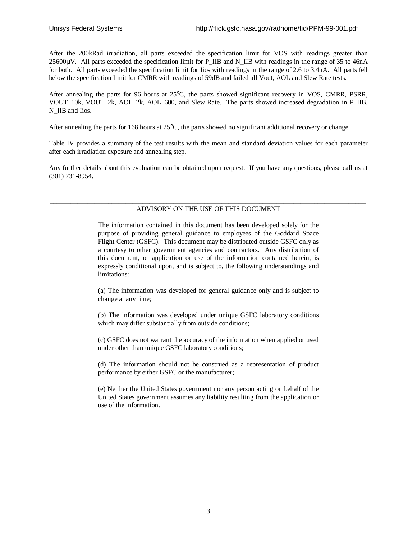After the 200kRad irradiation, all parts exceeded the specification limit for VOS with readings greater than 25600μV. All parts exceeded the specification limit for P\_IIB and N\_IIB with readings in the range of 35 to 46nA for both. All parts exceeded the specification limit for Iios with readings in the range of 2.6 to 3.4nA. All parts fell below the specification limit for CMRR with readings of 59dB and failed all Vout, AOL and Slew Rate tests.

After annealing the parts for 96 hours at 25°C, the parts showed significant recovery in VOS, CMRR, PSRR, VOUT\_10k, VOUT\_2k, AOL\_2k, AOL\_600, and Slew Rate. The parts showed increased degradation in P\_IIB, N\_IIB and Iios.

After annealing the parts for 168 hours at 25°C, the parts showed no significant additional recovery or change.

Table IV provides a summary of the test results with the mean and standard deviation values for each parameter after each irradiation exposure and annealing step.

Any further details about this evaluation can be obtained upon request. If you have any questions, please call us at (301) 731-8954.

#### \_\_\_\_\_\_\_\_\_\_\_\_\_\_\_\_\_\_\_\_\_\_\_\_\_\_\_\_\_\_\_\_\_\_\_\_\_\_\_\_\_\_\_\_\_\_\_\_\_\_\_\_\_\_\_\_\_\_\_\_\_\_\_\_\_\_\_\_\_\_\_\_\_\_\_\_\_\_\_\_\_\_\_\_\_\_\_\_\_\_\_\_ ADVISORY ON THE USE OF THIS DOCUMENT

The information contained in this document has been developed solely for the purpose of providing general guidance to employees of the Goddard Space Flight Center (GSFC). This document may be distributed outside GSFC only as a courtesy to other government agencies and contractors. Any distribution of this document, or application or use of the information contained herein, is expressly conditional upon, and is subject to, the following understandings and limitations:

(a) The information was developed for general guidance only and is subject to change at any time;

(b) The information was developed under unique GSFC laboratory conditions which may differ substantially from outside conditions;

(c) GSFC does not warrant the accuracy of the information when applied or used under other than unique GSFC laboratory conditions;

(d) The information should not be construed as a representation of product performance by either GSFC or the manufacturer;

(e) Neither the United States government nor any person acting on behalf of the United States government assumes any liability resulting from the application or use of the information.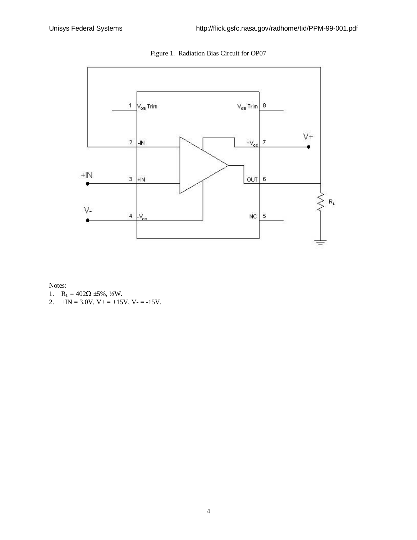

Figure 1. Radiation Bias Circuit for OP07

Notes:

- 1.  $R_L = 402\Omega \pm 5\%, \frac{1}{2}W$ .
- 2.  $+IN = 3.0V$ ,  $V_+ = +15V$ ,  $V_- = -15V$ .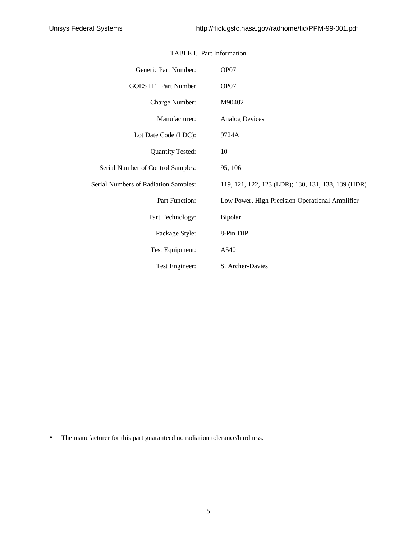| Generic Part Number:                 | OP07                                               |
|--------------------------------------|----------------------------------------------------|
| <b>GOES ITT Part Number</b>          | OP07                                               |
| Charge Number:                       | M90402                                             |
| Manufacturer:                        | <b>Analog Devices</b>                              |
| Lot Date Code (LDC):                 | 9724A                                              |
| <b>Quantity Tested:</b>              | 10                                                 |
| Serial Number of Control Samples:    | 95, 106                                            |
| Serial Numbers of Radiation Samples: | 119, 121, 122, 123 (LDR); 130, 131, 138, 139 (HDR) |
| Part Function:                       | Low Power, High Precision Operational Amplifier    |
| Part Technology:                     | Bipolar                                            |
| Package Style:                       | 8-Pin DIP                                          |
| Test Equipment:                      | A540                                               |
| Test Engineer:                       | S. Archer-Davies                                   |

### TABLE I. Part Information

• The manufacturer for this part guaranteed no radiation tolerance/hardness.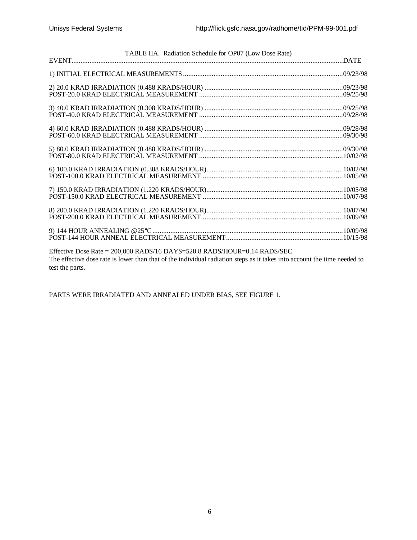| TABLE IIA. Radiation Schedule for OP07 (Low Dose Rate)                                                                                      |  |
|---------------------------------------------------------------------------------------------------------------------------------------------|--|
|                                                                                                                                             |  |
|                                                                                                                                             |  |
|                                                                                                                                             |  |
|                                                                                                                                             |  |
|                                                                                                                                             |  |
|                                                                                                                                             |  |
|                                                                                                                                             |  |
|                                                                                                                                             |  |
|                                                                                                                                             |  |
|                                                                                                                                             |  |
|                                                                                                                                             |  |
|                                                                                                                                             |  |
|                                                                                                                                             |  |
|                                                                                                                                             |  |
|                                                                                                                                             |  |
|                                                                                                                                             |  |
|                                                                                                                                             |  |
|                                                                                                                                             |  |
| Effective Dose Rate = 200,000 RADS/16 DAYS=520.8 RADS/HOUR=0.14 RADS/SEC                                                                    |  |
| The effective dose rate is lower than that of the individual radiation steps as it takes into account the time needed to<br>test the parts. |  |

PARTS WERE IRRADIATED AND ANNEALED UNDER BIAS, SEE FIGURE 1.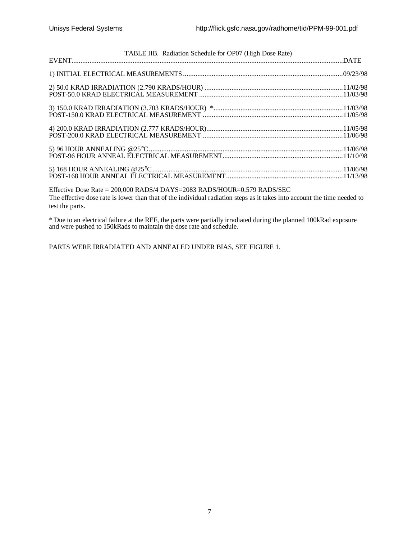| TABLE IIB. Radiation Schedule for OP07 (High Dose Rate) |  |
|---------------------------------------------------------|--|
|                                                         |  |
|                                                         |  |
|                                                         |  |
|                                                         |  |
|                                                         |  |
|                                                         |  |
|                                                         |  |

Effective Dose Rate = 200,000 RADS/4 DAYS=2083 RADS/HOUR=0.579 RADS/SEC The effective dose rate is lower than that of the individual radiation steps as it takes into account the time needed to test the parts.

\* Due to an electrical failure at the REF, the parts were partially irradiated during the planned 100kRad exposure and were pushed to 150kRads to maintain the dose rate and schedule.

PARTS WERE IRRADIATED AND ANNEALED UNDER BIAS, SEE FIGURE 1.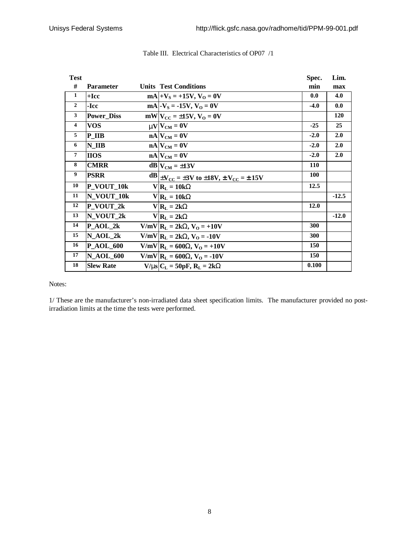| <b>Test</b>    |                   |                                                                     | Spec.      | Lim.       |
|----------------|-------------------|---------------------------------------------------------------------|------------|------------|
| #              | <b>Parameter</b>  | <b>Units Test Conditions</b>                                        | min        | max        |
| 1              | $+$ <b>Icc</b>    | $mA +V_S = +15V, V_O = 0V$                                          | 0.0        | 4.0        |
| $\mathbf{2}$   | -Icc              | $mA$ . $V_s = -15V$ , $V_o = 0V$                                    | $-4.0$     | 0.0        |
| 3              | <b>Power Diss</b> | $mW V_{CC} = \pm 15V, V_0 = 0V$                                     |            | <b>120</b> |
| $\overline{4}$ | <b>VOS</b>        | $mVCM = 0V$                                                         | $-25$      | 25         |
| 5              | P IIB             | $nA$ $V_{CM} = 0V$                                                  | $-2.0$     | 2.0        |
| 6              | N IIB             | $nA$ $V_{CM} = 0V$                                                  | $-2.0$     | 2.0        |
| $\overline{7}$ | <b>IIOS</b>       | $nA$ $V_{CM} = 0V$                                                  | $-2.0$     | 2.0        |
| 8              | <b>CMRR</b>       | $dB$ <sub>CM</sub> = $\pm$ 13V                                      | <b>110</b> |            |
| 9              | <b>PSRR</b>       | $\frac{dB}{dV_{CC}} = \pm 3V$ to $\pm 18V$ , $\pm V_{CC} = \pm 15V$ | <b>100</b> |            |
| 10             | P_VOUT_10k        | $V R_L = 10kW$                                                      | 12.5       |            |
| 11             | N VOUT 10k        | $V R_L = 10kW$                                                      |            | $-12.5$    |
| 12             | P_VOUT_2k         | $V R_L = 2kW$                                                       | 12.0       |            |
| 13             | N VOUT_2k         | $V R_L = 2kW$                                                       |            | $-12.0$    |
| 14             | $P_AOL_2k$        | $V/mV$ $R_L = 2kW$ , $V_O = +10V$                                   | 300        |            |
| 15             | $N_AOL_2k$        | $V/mV$ $R_L = 2kW$ , $V_O = -10V$                                   | 300        |            |
| 16             | <b>P_AOL_600</b>  | $V/mV$   $R_L = 600$ <b>W</b> , $V_O = +10V$                        | 150        |            |
| 17             | <b>N_AOL_600</b>  | $V/mV$   $R_L$ = 600 <b>W</b> , $V_O$ = -10V                        | 150        |            |
| 18             | <b>Slew Rate</b>  | $V/ms$ $C_L = 50pF$ , $R_L = 2kW$                                   | 0.100      |            |

# Table III. Electrical Characteristics of OP07 /1

Notes:

1/ These are the manufacturer's non-irradiated data sheet specification limits. The manufacturer provided no postirradiation limits at the time the tests were performed.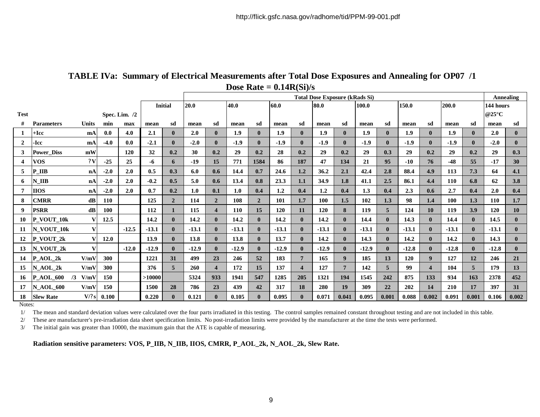|                |                        |              |            |         |         |                | <b>Total Dose Exposure (kRads Si)</b> |                         |            |                |               |                |         |                  |         |              | Annealing |                          |            |              |            |              |
|----------------|------------------------|--------------|------------|---------|---------|----------------|---------------------------------------|-------------------------|------------|----------------|---------------|----------------|---------|------------------|---------|--------------|-----------|--------------------------|------------|--------------|------------|--------------|
|                |                        |              |            |         |         | <b>Initial</b> | 20.0<br>40.0<br>60.0                  |                         |            |                | 80.0<br>100.0 |                |         |                  | 150.0   |              | 200.0     |                          | 144 hours  |              |            |              |
| <b>Test</b>    | Spec. Lim. /2          |              |            |         |         |                |                                       |                         |            |                |               |                |         |                  |         |              |           | @25 $\mathrm{^{\circ}C}$ |            |              |            |              |
|                | <b>Parameters</b>      | <b>Units</b> | min        | max     | mean    | sd             | mean                                  | sd                      | mean       | sd             | mean          | sd             | mean    | sd               | mean    | sd           | mean      | sd                       | mean       | sd           | mean       | sd           |
|                | +Icc                   | mA           | 0.0        | 4.0     | 2.1     | $\mathbf{0}$   | 2.0                                   | $\mathbf{0}$            | 1.9        | $\mathbf{0}$   | 1.9           | $\mathbf{0}$   | 1.9     | $\mathbf{0}$     | 1.9     | $\mathbf{0}$ | 1.9       | $\mathbf{0}$             | 1.9        | $\bf{0}$     | 2.0        | $\bf{0}$     |
| $\overline{2}$ | -Icc                   | mA           | $-4.0$     | 0.0     | $-2.1$  | $\mathbf{0}$   | $-2.0$                                | $\mathbf{0}$            | $-1.9$     | $\mathbf{0}$   | $-1.9$        | $\mathbf{0}$   | $-1.9$  | $\mathbf{0}$     | $-1.9$  | $\mathbf{0}$ | $-1.9$    | $\mathbf{0}$             | $-1.9$     | 0            | $-2.0$     | $\mathbf{0}$ |
| 3              | <b>Power Diss</b>      | mW           |            | 120     | 32      | 0.2            | 30                                    | 0.2                     | 29         | 0.2            | 28            | 0.2            | 29      | 0.2              | 29      | 0.3          | 29        | 0.2                      | 29         | 0.2          | 29         | 0.3          |
| 4              | <b>VOS</b>             | 2V           | $-25$      | 25      | -6      | 6              | $-19$                                 | 15                      | 771        | 1584           | 86            | 187            | 47      | 134              | 21      | 95           | $-10$     | 76                       | $-48$      | 55           | $-17$      | 30           |
| 5              | P IIB                  | nA           | $-2.0$     | 2.0     | 0.5     | 0.3            | 6.0                                   | 0.6                     | 14.4       | 0.7            | 24.6          | 1.2            | 36.2    | 2.1              | 42.4    | 2.8          | 88.4      | 4.9                      | 113        | 7.3          | 64         | 4.1          |
| 6              | $N$ _IIB               | nA           | $-2.0$     | 2.0     | $-0.2$  | 0.5            | 5.0                                   | 0.6                     | 13.4       | 0.8            | 23.3          | 1.1            | 34.9    | 1.8              | 41.1    | 2.5          | 86.1      | 4.4                      | <b>110</b> | 6.8          | 62         | 3.8          |
| 7              | <b>IIOS</b>            | nA           | $-2.0$     | 2.0     | 0.7     | 0.2            | 1.0                                   | 0.1                     | 1.0        | 0.4            | 1.2           | 0.4            | 1.2     | 0.4              | 1.3     | 0.4          | 2.3       | 0.6                      | 2.7        | 0.4          | 2.0        | 0.4          |
| 8.             | <b>CMRR</b>            | d <b>B</b>   | <b>110</b> |         | 125     | $\overline{2}$ | 114                                   | $\overline{2}$          | 108        | $\overline{2}$ | 101           | 1.7            | 100     | 1.5              | 102     | 1.3          | 98        | 1.4                      | 100        | 1.3          | <b>110</b> | 1.7          |
| 9              | <b>PSRR</b>            | dB           | <b>100</b> |         | 112     |                | 115                                   | $\overline{\mathbf{4}}$ | <b>110</b> | 15             | <b>120</b>    | 11             | 120     | 8                | 119     | 5            | 124       | 10                       | 119        | 3.9          | <b>120</b> | 10           |
| 10             | P VOUT 10k             | v            | 12.5       |         | 14.2    | $\mathbf{0}$   | 14.2                                  | $\mathbf{0}$            | 14.2       | $\mathbf{0}$   | 14.2          | $\mathbf{0}$   | 14.2    | $\mathbf{0}$     | 14.4    | $\mathbf{0}$ | 14.3      | $\mathbf{0}$             | 14.4       | $\mathbf{0}$ | 14.5       | $\mathbf{0}$ |
| 11             | N VOUT 10k             | v            |            | $-12.5$ | $-13.1$ | $\mathbf{0}$   | $-13.1$                               | $\mathbf{0}$            | $-13.1$    | $\mathbf{0}$   | $-13.1$       | $\mathbf{0}$   | $-13.1$ | $\mathbf{0}$     | $-13.1$ | $\mathbf{0}$ | $-13.1$   | 0                        | $-13.1$    | 0            | $-13.1$    | $\mathbf{0}$ |
| 12             | $P_VOUT_2k$            | v            | 12.0       |         | 13.9    | $\mathbf{0}$   | 13.8                                  | $\mathbf{0}$            | 13.8       | $\mathbf{0}$   | 13.7          | $\mathbf{0}$   | 14.2    | $\mathbf{0}$     | 14.3    | $\mathbf{0}$ | 14.2      |                          | 14.2       | $\mathbf{0}$ | 14.3       | $\mathbf{0}$ |
| 13             | N VOUT 2k              | v            |            | $-12.0$ | $-12.9$ | $\mathbf{0}$   | $-12.9$                               | $\mathbf{0}$            | $-12.9$    | $\mathbf{0}$   | $-12.9$       | $\mathbf{0}$   | $-12.9$ | $\mathbf{0}$     | $-12.9$ | $\mathbf{0}$ | $-12.8$   |                          | $-12.8$    | 0            | $-12.8$    | $\mathbf{0}$ |
| 14             | $P_AOL_2k$             | V/mV         | 300        |         | 1221    | 31             | 499                                   | 23                      | 246        | 52             | 183           | $\overline{7}$ | 165     | $\boldsymbol{9}$ | 185     | 13           | 120       | $\boldsymbol{q}$         | 127        | 12           | 246        | 21           |
| 15             | N AOL 2k               | V/mV         | 300        |         | 376     | $\overline{5}$ | 260                                   | $\overline{4}$          | 172        | 15             | 137           | 4              | 127     | $7\phantom{.0}$  | 142     | 5            | 99        |                          | 104        | 5            | 179        | 13           |
| 16             | <b>P_AOL_600</b><br>/3 | V/mV         | 150        |         | >10000  |                | 5324                                  | 933                     | 1941       | 547            | 1285          | 205            | 1321    | 194              | 1545    | 242          | 875       | 133                      | 934        | 163          | 2378       | 452          |
| 17             | <b>N AOL 600</b>       | V/mV         | <b>150</b> |         | 1500    | 28             | 786                                   | 23                      | 439        | 42             | 317           | 18             | 280     | 19               | 309     | 22           | 202       | 14                       | <b>210</b> | 17           | 397        | 31           |
| 18             | <b>Slew Rate</b>       | V/?s         | 0.100      |         | 0.220   | $\mathbf{0}$   | 0.121                                 | $\mathbf{0}$            | 0.105      | $\mathbf 0$    | 0.095         | 0              | 0.071   | 0.041            | 0.095   | 0.001        | 0.088     | 0.002                    | 0.091      | 0.001        | 0.106      | 0.002        |

# **TABLE IVa: Summary of Electrical Measurements after Total Dose Exposures and Annealing for OP07 /1 Dose Rate = 0.14R(Si)/s**

Notes:

1/ The mean and standard deviation values were calculated over the four parts irradiated in this testing. The control samples remained constant throughout testing and are not included in this table.

2/ These are manufacturer's pre-irradiation data sheet specification limits. No post-irradiation limits were provided by the manufacturer at the time the tests were performed.

3/ The initial gain was greater than 10000, the maximum gain that the ATE is capable of measuring.

**Radiation sensitive parameters: VOS, P\_IIB, N\_IIB, IIOS, CMRR, P\_AOL\_2k, N\_AOL\_2k, Slew Rate.**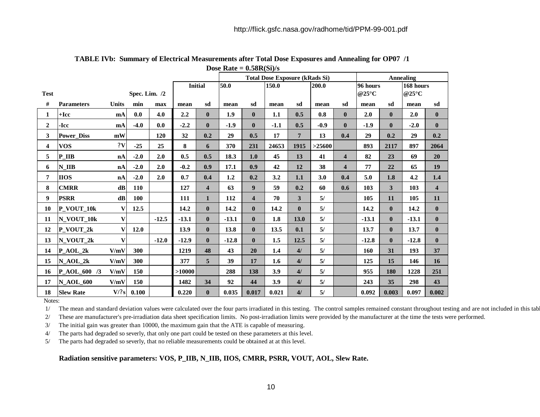|              |                   |               |               |         |                |                         | <b>Total Dose Exposure (kRads Si)</b> |                         |                |                |        |                         | <b>Annealing</b>     |              |         |                         |  |
|--------------|-------------------|---------------|---------------|---------|----------------|-------------------------|---------------------------------------|-------------------------|----------------|----------------|--------|-------------------------|----------------------|--------------|---------|-------------------------|--|
|              |                   |               |               |         | <b>Initial</b> |                         | 50.0                                  |                         | 150.0<br>200.0 |                |        | 96 hours                |                      | 168 hours    |         |                         |  |
| <b>Test</b>  |                   |               | Spec. Lim. /2 |         |                |                         |                                       |                         |                |                |        |                         | @25 $\rm{^{\circ}C}$ |              | @25°C   |                         |  |
| #            | <b>Parameters</b> | <b>Units</b>  | min           | max     | mean           | sd                      | mean                                  | sd                      | mean           | sd             | mean   | sd                      | mean                 | sd           | mean    | sd                      |  |
| 1            | $+$ Icc           | mA            | 0.0           | 4.0     | 2.2            | $\mathbf{0}$            | 1.9                                   | $\mathbf{0}$            | 1.1            | 0.5            | 0.8    | $\bf{0}$                | 2.0                  | $\mathbf{0}$ | 2.0     | $\bf{0}$                |  |
| $\mathbf{2}$ | -Icc              | mA            | $-4.0$        | 0.0     | $-2.2$         | $\mathbf{0}$            | $-1.9$                                | $\mathbf{0}$            | $-1.1$         | 0.5            | $-0.9$ | $\bf{0}$                | $-1.9$               | $\mathbf{0}$ | $-2.0$  | $\bf{0}$                |  |
| 3            | <b>Power_Diss</b> | mW            |               | 120     | 32             | 0.2                     | 29                                    | 0.5                     | 17             | $\overline{7}$ | 13     | 0.4                     | 29                   | 0.2          | 29      | 0.2                     |  |
| 4            | <b>VOS</b>        | 2V            | $-25$         | 25      | 8              | 6                       | 370                                   | 231                     | 24653          | 1915           | >25600 |                         | 893                  | 2117         | 897     | 2064                    |  |
| 5            | P IIB             | nA            | $-2.0$        | 2.0     | 0.5            | 0.5                     | 18.3                                  | 1.0                     | 45             | 13             | 41     | $\overline{\mathbf{4}}$ | 82                   | 23           | 69      | 20                      |  |
| 6            | N IIB             | nA            | $-2.0$        | 2.0     | $-0.2$         | 0.9                     | 17.1                                  | 0.9                     | 42             | 12             | 38     | $\overline{\mathbf{4}}$ | 77                   | 22           | 65      | 19                      |  |
| 7            | <b>HOS</b>        | nA            | $-2.0$        | 2.0     | 0.7            | 0.4                     | 1.2                                   | 0.2                     | 3.2            | 1.1            | 3.0    | 0.4                     | 5.0                  | 1.8          | 4.2     | 1.4                     |  |
| 8            | <b>CMRR</b>       | dB            | 110           |         | 127            | $\overline{\mathbf{4}}$ | 63                                    | $\boldsymbol{9}$        | 59             | 0.2            | 60     | 0.6                     | 103                  | 3            | 103     | $\overline{\mathbf{4}}$ |  |
| 9            | <b>PSRR</b>       | $\mathbf{dB}$ | 100           |         | 111            | $\mathbf{1}$            | 112                                   | $\overline{\mathbf{4}}$ | 70             | 3              | 5/     |                         | 105                  | 11           | 105     | 11                      |  |
| 10           | P_VOUT_10k        | V             | 12.5          |         | 14.2           | $\mathbf{0}$            | 14.2                                  | $\mathbf{0}$            | 14.2           | $\mathbf{0}$   | 5/     |                         | 14.2                 | $\mathbf{0}$ | 14.2    | $\bf{0}$                |  |
| 11           | N VOUT 10k        | $\mathbf{V}$  |               | $-12.5$ | $-13.1$        | $\mathbf{0}$            | $-13.1$                               | $\mathbf{0}$            | 1.8            | 13.0           | 5/     |                         | $-13.1$              | $\mathbf{0}$ | $-13.1$ | $\mathbf{0}$            |  |
| 12           | P_VOUT_2k         | $\mathbf{V}$  | 12.0          |         | 13.9           | $\mathbf{0}$            | 13.8                                  | $\mathbf{0}$            | 13.5           | 0.1            | 5/     |                         | 13.7                 | $\mathbf{0}$ | 13.7    | $\mathbf{0}$            |  |
| 13           | N_VOUT_2k         | $\mathbf{V}$  |               | $-12.0$ | $-12.9$        | $\mathbf{0}$            | $-12.8$                               | $\mathbf{0}$            | 1.5            | 12.5           | 5/     |                         | $-12.8$              | $\mathbf{0}$ | $-12.8$ | $\mathbf{0}$            |  |
| 14           | $P_{A}OL_{2k}$    | V/mV          | 300           |         | 1219           | 48                      | 43                                    | 20                      | 1.4            | 4/             | 5/     |                         | 160                  | 31           | 193     | 37                      |  |
| 15           | N AOL 2k          | V/mV          | 300           |         | 377            | 5                       | 39                                    | 17                      | 1.6            | 4/             | 5/     |                         | 125                  | 15           | 146     | 16                      |  |
| 16           | P AOL 600 /3      | V/mV          | 150           |         | >10000         |                         | 288                                   | 138                     | 3.9            | 4/             | 5/     |                         | 955                  | <b>180</b>   | 1228    | 251                     |  |
| 17           | <b>N AOL 600</b>  | V/mV          | 150           |         | 1482           | 34                      | 92                                    | 44                      | 3.9            | 4/             | 5/     |                         | 243                  | 35           | 298     | 43                      |  |
| 18           | <b>Slew Rate</b>  | V/?s          | 0.100         |         | 0.220          | $\mathbf{0}$            | 0.035                                 | 0.017                   | 0.021          | 4/             | 5/     |                         | 0.092                | 0.003        | 0.097   | 0.002                   |  |

**TABLE IVb: Summary of Electrical Measurements after Total Dose Exposures and Annealing for OP07 /1 Dose Rate = 0.58R(Si)/s**

Notes:

1/ The mean and standard deviation values were calculated over the four parts irradiated in this testing. The control samples remained constant throughout testing and are not included in this tab

2/ These are manufacturer's pre-irradiation data sheet specification limits. No post-irradiation limits were provided by the manufacturer at the time the tests were performed.

3/ The initial gain was greater than 10000, the maximum gain that the ATE is capable of measuring.

4/ The parts had degraded so severly, that only one part could be tested on these parameters at this level.

5/ The parts had degraded so severly, that no reliable measurements could be obtained at at this level.

#### **Radiation sensitive parameters: VOS, P\_IIB, N\_IIB, IIOS, CMRR, PSRR, VOUT, AOL, Slew Rate.**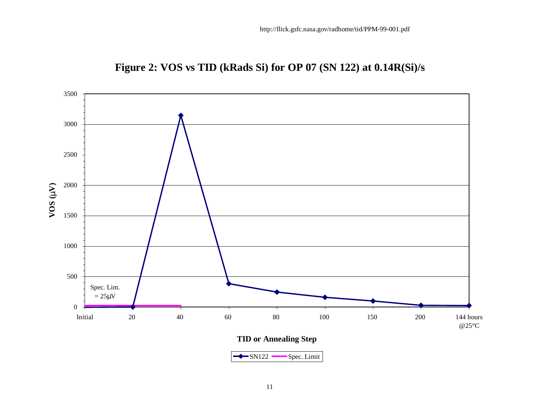

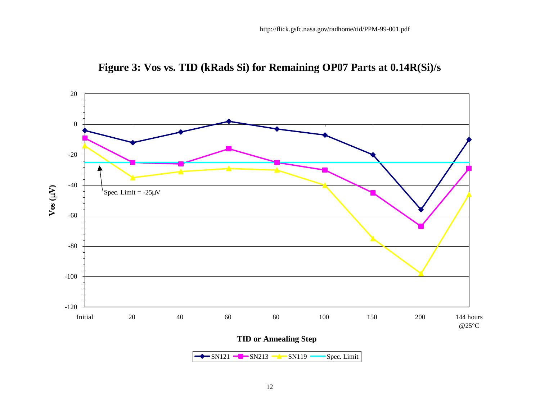

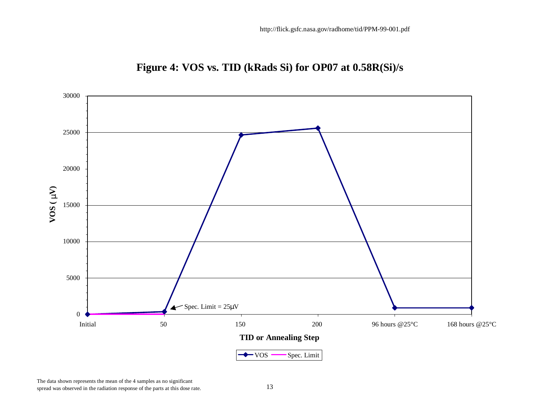

**Figure 4: VOS vs. TID (kRads Si) for OP07 at 0.58R(Si)/s**

The data shown represents the mean of the 4 samples as no significant spread was observed in the radiation response of the parts at this dose rate. 13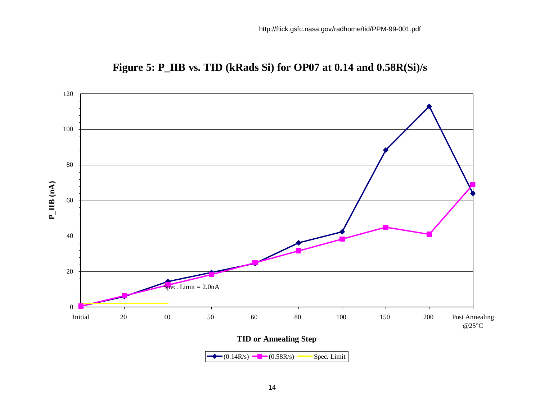